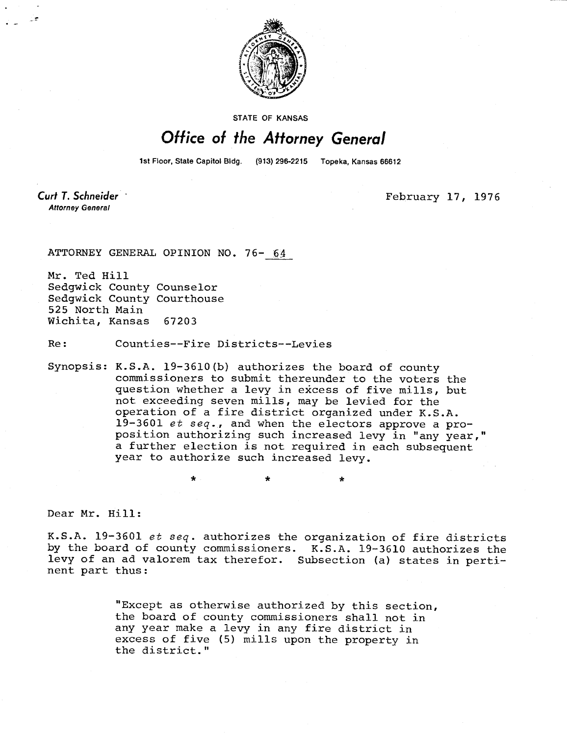

STATE OF KANSAS

## Office of the Attorney General

1st Floor, State Capitol Bldg. (913) 296-2215 Topeka, Kansas 66612

Curt T. Schneider **Attorney General** 

February 17, 1976

ATTORNEY GENERAL OPINION NO. 76- 64

Mr. Ted Hill Sedgwick County Counselor Sedgwick County Courthouse 525 North Main Wichita, Kansas 67203

Re: Counties--Fire Districts--Levies

Synopsis: K.S.A. 19-3610(b) authorizes the board of county commissioners to submit thereunder to the voters the question whether a levy in excess of five mills, but not exceeding seven mills, may be levied for the operation of a fire district organized under K.S.A. 19-3601 et seq., and when the electors approve a proposition authorizing such increased levy in "any year," a further election is not required in each subsequent year to authorize such increased levy.

Dear Mr. Hill:

K.S.A. 19-3601 et seq. authorizes the organization of fire districts by the board of county commissioners. K.S.A. 19-3610 authorizes the levy of an ad valorem tax therefor. Subsection (a) states in pertinent part thus:

> "Except as otherwise authorized by this section, the board of county commissioners shall not in any year make a levy in any fire district in excess of five (5) mills upon the property in the district."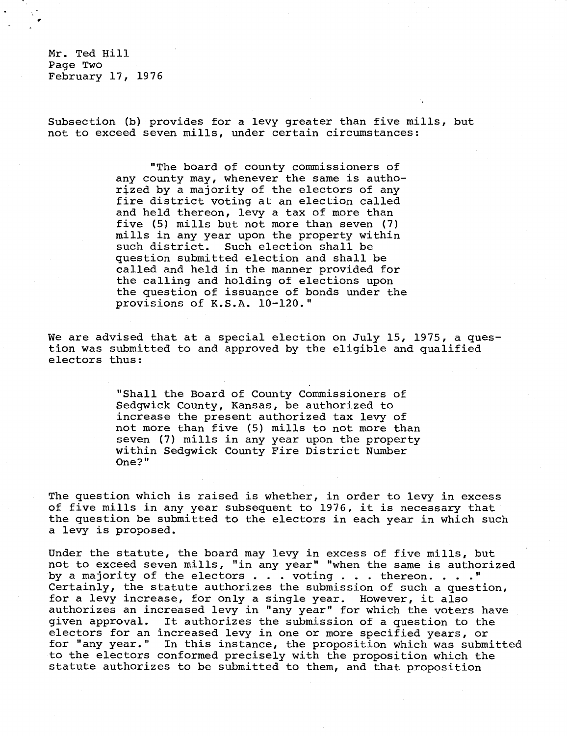Mr. Ted Hill Page Two February 17, 1976

Subsection (b) provides for a levy greater than five mills, but not to exceed seven mills, under certain circumstances:

> "The board of county commissioners of any county may, whenever the same is authorized by a majority of the electors of any fire district voting at an election called and held thereon, levy a tax of more than five (5) mills but not more than seven (7) mills in any year upon the property within such district. Such election shall be question submitted election and shall be called and held in the manner provided for the calling and holding of elections upon the question of issuance of bonds under the provisions of K.S.A. 10-120."

We are advised that at a special election on July 15, 1975, a question was submitted to and approved by the eligible and qualified electors thus:

> "Shall the Board of County Commissioners of Sedgwick County, Kansas, be authorized to increase the present authorized tax levy of not more than five (5) mills to not more than seven (7) mills in any year upon the property within Sedgwick County Fire District Number One?"

The question which is raised is whether, in order to levy in excess of five mills in any year subsequent to 1976, it is necessary that the question be submitted to the electors in each year in which such a levy is proposed.

Under the statute, the board may levy in excess of five mills, but not to exceed seven mills, "in any year" "when the same is authorized by a majority of the electors  $\ldots$  voting  $\ldots$  . thereon.  $\ldots$ ." Certainly, the statute authorizes the submission of such a question, for a levy increase, for only a single year. However, it also authorizes an increased levy in "any year" for which the voters have given approval. It authorizes the submission of a question to the electors for an increased levy in one or more specified years, or for "any year." In this instance, the proposition which was submitted to the electors conformed precisely with the proposition which the statute authorizes to be submitted to them, and that proposition